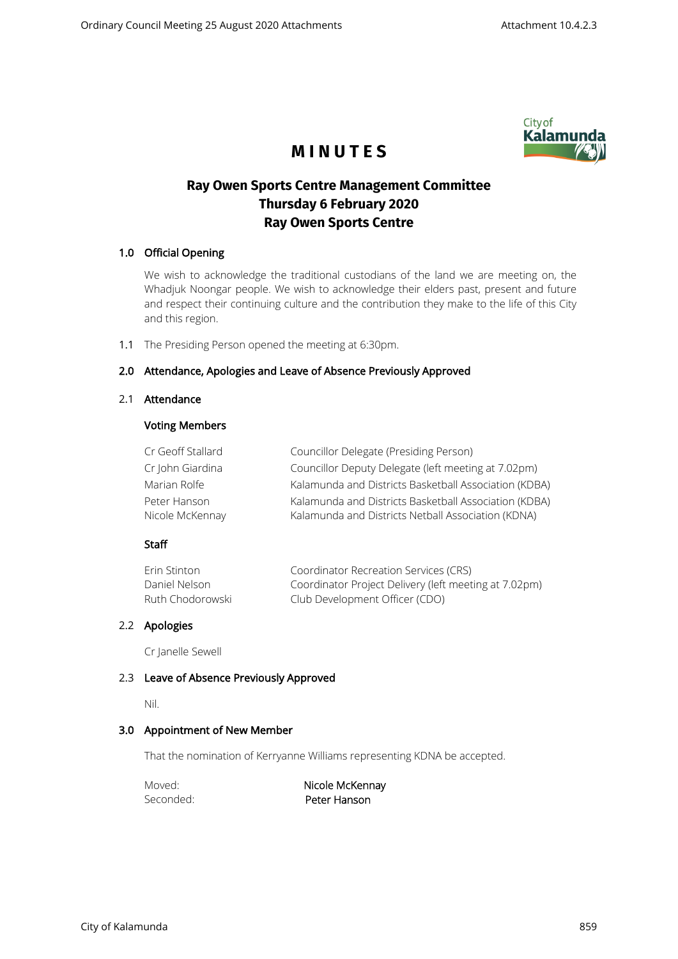

# **M I N U T E S**

## **Ray Owen Sports Centre Management Committee Thursday 6 February 2020 Ray Owen Sports Centre**

## 1.0 Official Opening

We wish to acknowledge the traditional custodians of the land we are meeting on, the Whadjuk Noongar people. We wish to acknowledge their elders past, present and future and respect their continuing culture and the contribution they make to the life of this City and this region.

1.1 The Presiding Person opened the meeting at 6:30pm.

## 2.0 Attendance, Apologies and Leave of Absence Previously Approved

#### 2.1 Attendance

#### Voting Members

| Cr Geoff Stallard | Councillor Delegate (Presiding Person)                |
|-------------------|-------------------------------------------------------|
| Cr John Giardina  | Councillor Deputy Delegate (left meeting at 7.02pm)   |
| Marian Rolfe      | Kalamunda and Districts Basketball Association (KDBA) |
| Peter Hanson      | Kalamunda and Districts Basketball Association (KDBA) |
| Nicole McKennay   | Kalamunda and Districts Netball Association (KDNA)    |

#### Staff

| Erin Stinton     | Coordinator Recreation Services (CRS)                 |
|------------------|-------------------------------------------------------|
| Daniel Nelson    | Coordinator Project Delivery (left meeting at 7.02pm) |
| Ruth Chodorowski | Club Development Officer (CDO)                        |

## 2.2 Apologies

Cr Janelle Sewell

#### 2.3 Leave of Absence Previously Approved

Nil.

#### 3.0 Appointment of New Member

That the nomination of Kerryanne Williams representing KDNA be accepted.

Moved: Nicole McKennay Seconded: **Peter Hanson**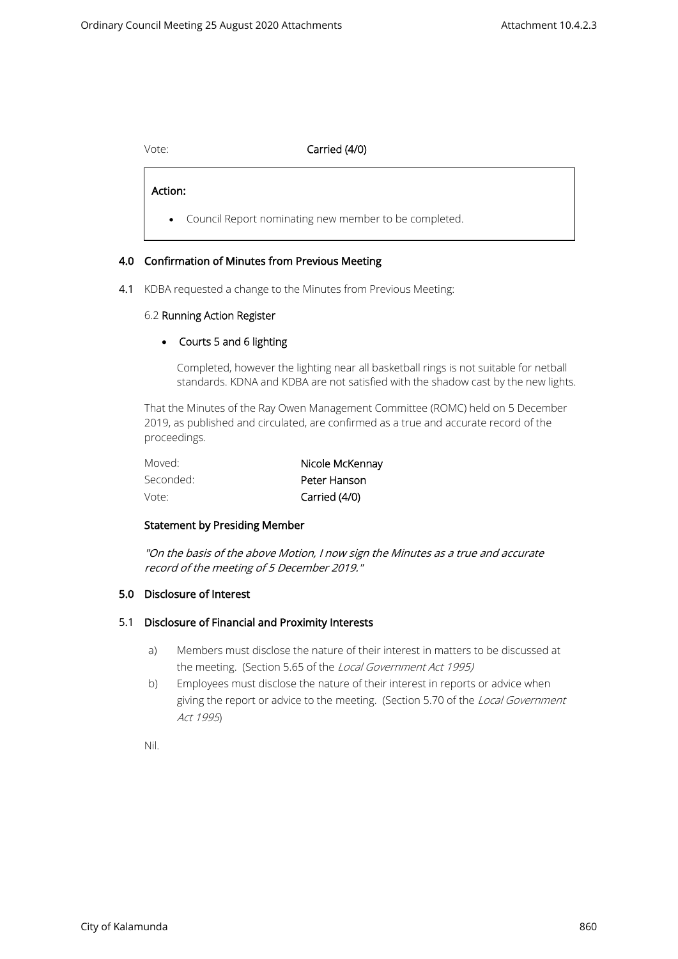## Vote: Carried (4/0)

Action:

 $\overline{\phantom{0}}$ 

• Council Report nominating new member to be completed.

#### 4.0 Confirmation of Minutes from Previous Meeting

4.1 KDBA requested a change to the Minutes from Previous Meeting:

#### 6.2 Running Action Register

#### • Courts 5 and 6 lighting

Completed, however the lighting near all basketball rings is not suitable for netball standards. KDNA and KDBA are not satisfied with the shadow cast by the new lights.

That the Minutes of the Ray Owen Management Committee (ROMC) held on 5 December 2019, as published and circulated, are confirmed as a true and accurate record of the proceedings.

| Moved:    | Nicole McKennay |
|-----------|-----------------|
| Seconded: | Peter Hanson    |
| Vote:     | Carried (4/0)   |

#### Statement by Presiding Member

"On the basis of the above Motion, I now sign the Minutes as a true and accurate record of the meeting of 5 December 2019."

#### 5.0 Disclosure of Interest

#### 5.1 Disclosure of Financial and Proximity Interests

- a) Members must disclose the nature of their interest in matters to be discussed at the meeting. (Section 5.65 of the Local Government Act 1995)
- b) Employees must disclose the nature of their interest in reports or advice when giving the report or advice to the meeting. (Section 5.70 of the Local Government Act 1995)

Nil.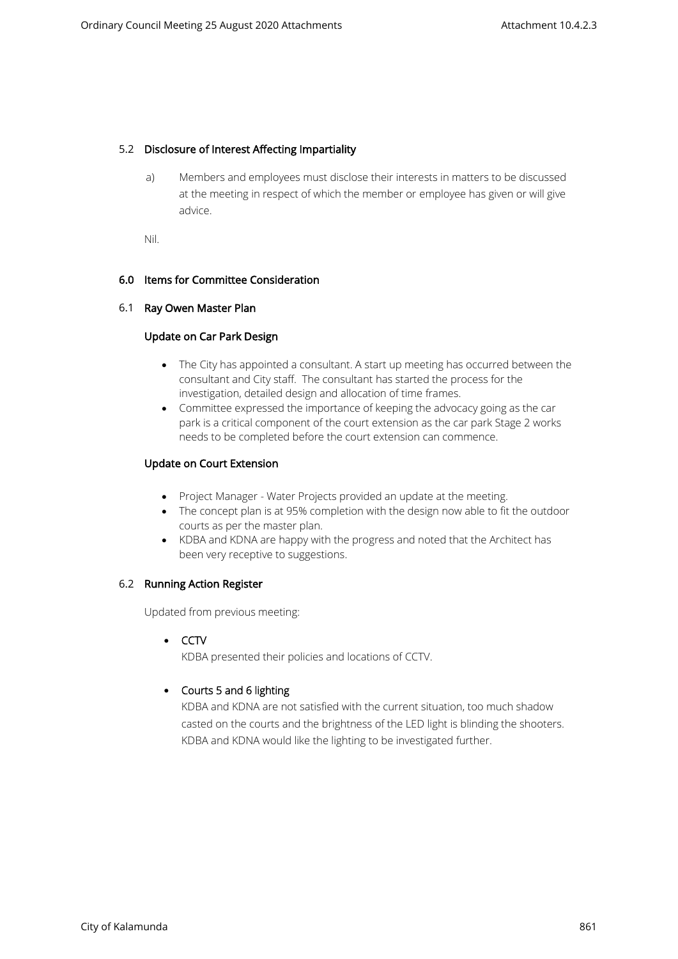#### 5.2 Disclosure of Interest Affecting Impartiality

a) Members and employees must disclose their interests in matters to be discussed at the meeting in respect of which the member or employee has given or will give advice.

Nil.

#### 6.0 Items for Committee Consideration

#### 6.1 Ray Owen Master Plan

## Update on Car Park Design

- The City has appointed a consultant. A start up meeting has occurred between the consultant and City staff. The consultant has started the process for the investigation, detailed design and allocation of time frames.
- Committee expressed the importance of keeping the advocacy going as the car park is a critical component of the court extension as the car park Stage 2 works needs to be completed before the court extension can commence.

## Update on Court Extension

- Project Manager Water Projects provided an update at the meeting.
- The concept plan is at 95% completion with the design now able to fit the outdoor courts as per the master plan.
- KDBA and KDNA are happy with the progress and noted that the Architect has been very receptive to suggestions.

#### 6.2 Running Action Register

Updated from previous meeting:

• CCTV

KDBA presented their policies and locations of CCTV.

## • Courts 5 and 6 lighting

KDBA and KDNA are not satisfied with the current situation, too much shadow casted on the courts and the brightness of the LED light is blinding the shooters. KDBA and KDNA would like the lighting to be investigated further.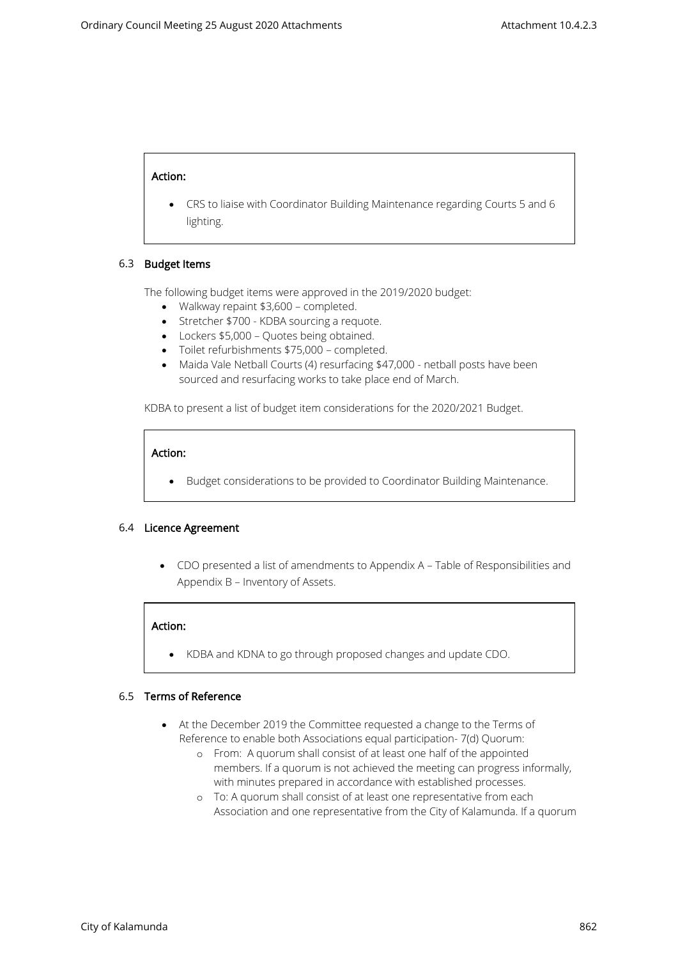#### Action:

• CRS to liaise with Coordinator Building Maintenance regarding Courts 5 and 6 lighting.

#### 6.3 Budget Items

The following budget items were approved in the 2019/2020 budget:

- Walkway repaint \$3,600 completed.
- Stretcher \$700 KDBA sourcing a requote.
- Lockers \$5,000 Quotes being obtained.
- Toilet refurbishments \$75,000 completed.
- Maida Vale Netball Courts (4) resurfacing \$47,000 netball posts have been sourced and resurfacing works to take place end of March.

KDBA to present a list of budget item considerations for the 2020/2021 Budget.

## Action:

• Budget considerations to be provided to Coordinator Building Maintenance.

#### 6.4 Licence Agreement

• CDO presented a list of amendments to Appendix A – Table of Responsibilities and Appendix B – Inventory of Assets.

#### Action:

• KDBA and KDNA to go through proposed changes and update CDO.

#### 6.5 Terms of Reference

- At the December 2019 the Committee requested a change to the Terms of Reference to enable both Associations equal participation- 7(d) Quorum:
	- o From: A quorum shall consist of at least one half of the appointed members. If a quorum is not achieved the meeting can progress informally, with minutes prepared in accordance with established processes.
	- o To: A quorum shall consist of at least one representative from each Association and one representative from the City of Kalamunda. If a quorum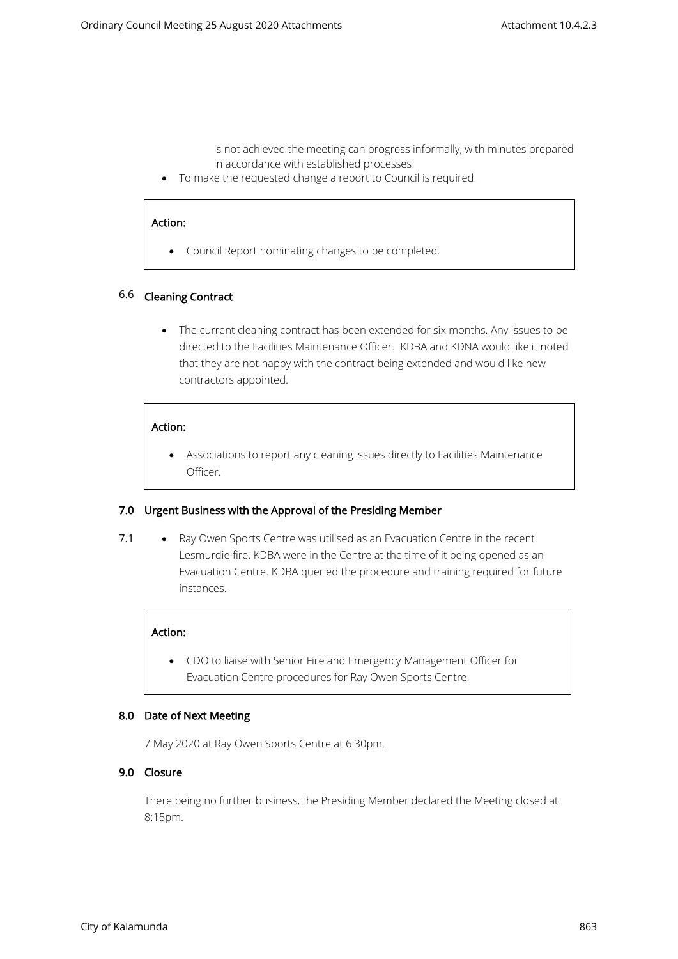is not achieved the meeting can progress informally, with minutes prepared in accordance with established processes.

• To make the requested change a report to Council is required.

#### Action:

• Council Report nominating changes to be completed.

#### 6.6 Cleaning Contract

• The current cleaning contract has been extended for six months. Any issues to be directed to the Facilities Maintenance Officer. KDBA and KDNA would like it noted that they are not happy with the contract being extended and would like new contractors appointed.

#### Action:

• Associations to report any cleaning issues directly to Facilities Maintenance Officer.

#### 7.0 Urgent Business with the Approval of the Presiding Member

7.1 • Ray Owen Sports Centre was utilised as an Evacuation Centre in the recent Lesmurdie fire. KDBA were in the Centre at the time of it being opened as an Evacuation Centre. KDBA queried the procedure and training required for future instances.

#### Action:

• CDO to liaise with Senior Fire and Emergency Management Officer for Evacuation Centre procedures for Ray Owen Sports Centre.

#### 8.0 Date of Next Meeting

7 May 2020 at Ray Owen Sports Centre at 6:30pm.

## 9.0 Closure

There being no further business, the Presiding Member declared the Meeting closed at 8:15pm.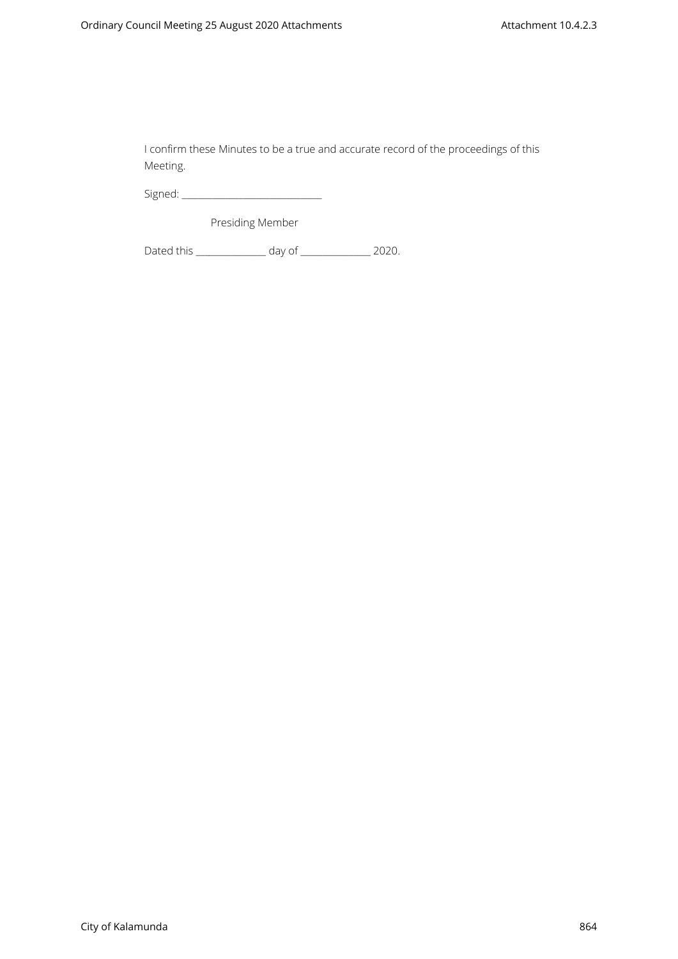I confirm these Minutes to be a true and accurate record of the proceedings of this Meeting.

Signed: \_\_\_\_\_\_\_\_\_\_\_\_\_\_\_\_\_\_\_\_\_\_\_\_\_\_\_\_\_\_\_\_

Presiding Member

Dated this \_\_\_\_\_\_\_\_\_\_\_\_\_\_\_\_\_ day of \_\_\_\_\_\_\_\_\_\_\_\_\_\_\_\_\_ 2020.